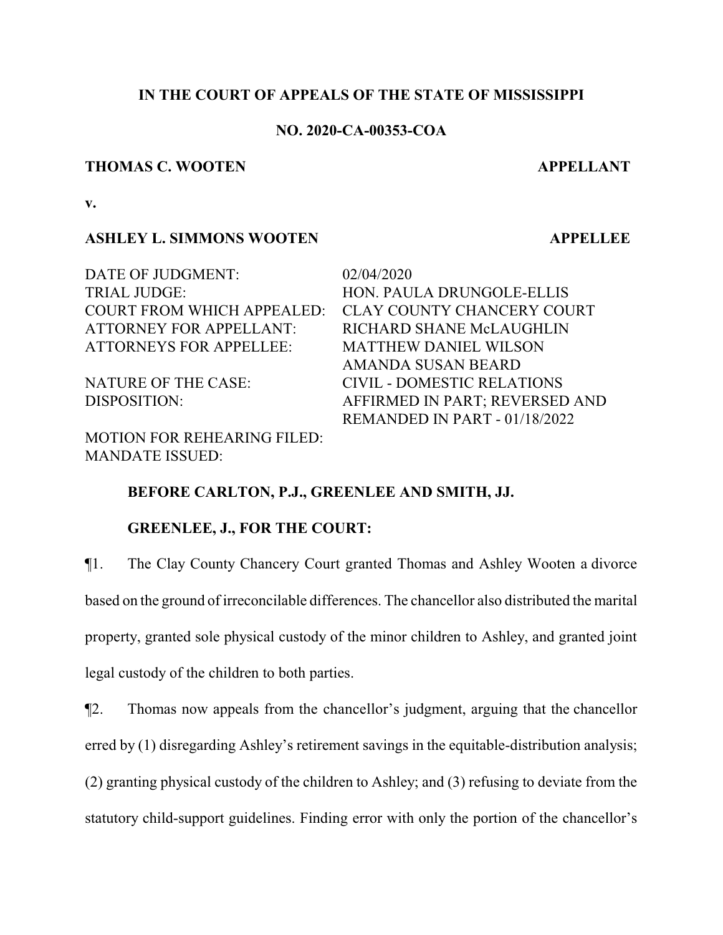# **IN THE COURT OF APPEALS OF THE STATE OF MISSISSIPPI**

# **NO. 2020-CA-00353-COA**

#### **THOMAS C. WOOTEN APPELLANT**

**v.**

# **ASHLEY L. SIMMONS WOOTEN APPELLEE**

DATE OF JUDGMENT: 02/04/2020 TRIAL JUDGE: HON. PAULA DRUNGOLE-ELLIS ATTORNEY FOR APPELLANT: RICHARD SHANE McLAUGHLIN ATTORNEYS FOR APPELLEE: MATTHEW DANIEL WILSON

MOTION FOR REHEARING FILED: MANDATE ISSUED:

COURT FROM WHICH APPEALED: CLAY COUNTY CHANCERY COURT AMANDA SUSAN BEARD NATURE OF THE CASE: CIVIL - DOMESTIC RELATIONS DISPOSITION: AFFIRMED IN PART; REVERSED AND REMANDED IN PART - 01/18/2022

# **BEFORE CARLTON, P.J., GREENLEE AND SMITH, JJ.**

## **GREENLEE, J., FOR THE COURT:**

¶1. The Clay County Chancery Court granted Thomas and Ashley Wooten a divorce based on the ground of irreconcilable differences. The chancellor also distributed the marital property, granted sole physical custody of the minor children to Ashley, and granted joint legal custody of the children to both parties.

¶2. Thomas now appeals from the chancellor's judgment, arguing that the chancellor erred by (1) disregarding Ashley's retirement savings in the equitable-distribution analysis; (2) granting physical custody of the children to Ashley; and (3) refusing to deviate from the statutory child-support guidelines. Finding error with only the portion of the chancellor's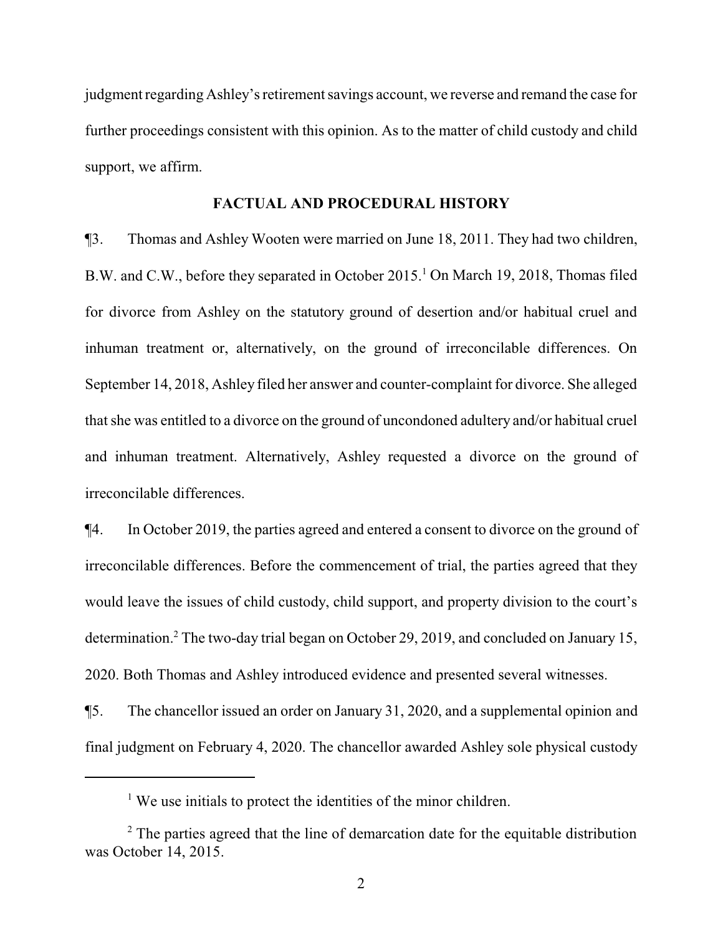judgment regarding Ashley's retirement savings account, we reverse and remand the case for further proceedings consistent with this opinion. As to the matter of child custody and child support, we affirm.

# **FACTUAL AND PROCEDURAL HISTORY**

¶3. Thomas and Ashley Wooten were married on June 18, 2011. They had two children, B.W. and C.W., before they separated in October 2015.<sup>1</sup> On March 19, 2018, Thomas filed for divorce from Ashley on the statutory ground of desertion and/or habitual cruel and inhuman treatment or, alternatively, on the ground of irreconcilable differences. On September 14, 2018, Ashley filed her answer and counter-complaint for divorce. She alleged that she was entitled to a divorce on the ground of uncondoned adultery and/or habitual cruel and inhuman treatment. Alternatively, Ashley requested a divorce on the ground of irreconcilable differences.

¶4. In October 2019, the parties agreed and entered a consent to divorce on the ground of irreconcilable differences. Before the commencement of trial, the parties agreed that they would leave the issues of child custody, child support, and property division to the court's determination.<sup>2</sup> The two-day trial began on October 29, 2019, and concluded on January 15, 2020. Both Thomas and Ashley introduced evidence and presented several witnesses.

¶5. The chancellor issued an order on January 31, 2020, and a supplemental opinion and final judgment on February 4, 2020. The chancellor awarded Ashley sole physical custody

<sup>&</sup>lt;sup>1</sup> We use initials to protect the identities of the minor children.

 $2^2$  The parties agreed that the line of demarcation date for the equitable distribution was October 14, 2015.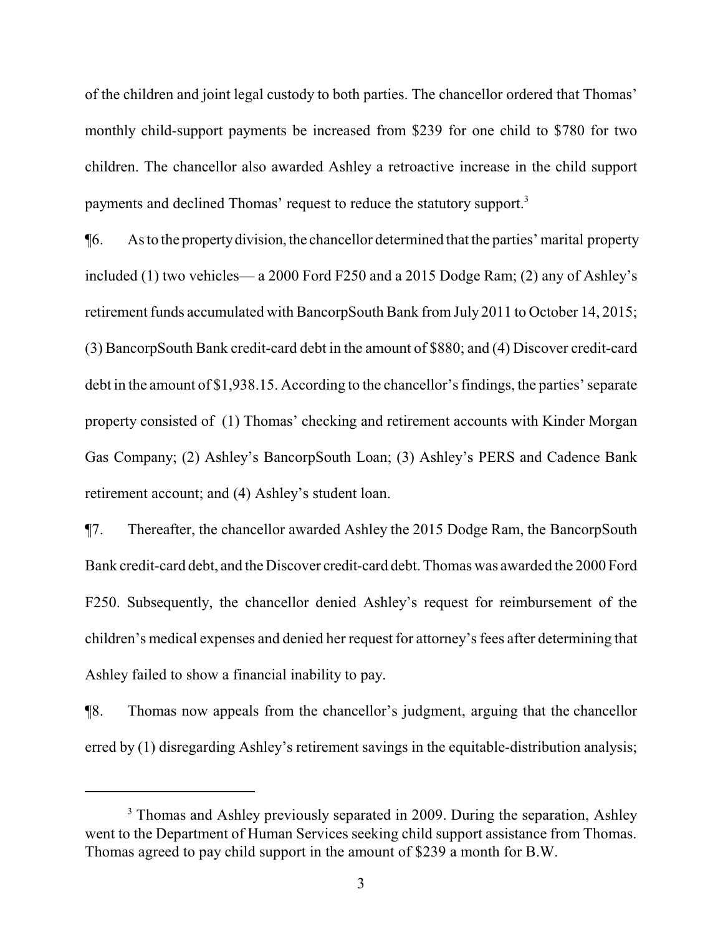of the children and joint legal custody to both parties. The chancellor ordered that Thomas' monthly child-support payments be increased from \$239 for one child to \$780 for two children. The chancellor also awarded Ashley a retroactive increase in the child support payments and declined Thomas' request to reduce the statutory support.<sup>3</sup>

¶6. As to the propertydivision,the chancellor determined that the parties' marital property included (1) two vehicles— a 2000 Ford F250 and a 2015 Dodge Ram; (2) any of Ashley's retirement funds accumulated with BancorpSouth Bank from July 2011 to October 14, 2015; (3) BancorpSouth Bank credit-card debt in the amount of \$880; and (4) Discover credit-card debt in the amount of \$1,938.15. According to the chancellor's findings, the parties' separate property consisted of (1) Thomas' checking and retirement accounts with Kinder Morgan Gas Company; (2) Ashley's BancorpSouth Loan; (3) Ashley's PERS and Cadence Bank retirement account; and (4) Ashley's student loan.

¶7. Thereafter, the chancellor awarded Ashley the 2015 Dodge Ram, the BancorpSouth Bank credit-card debt, and the Discover credit-card debt. Thomas was awarded the 2000 Ford F250. Subsequently, the chancellor denied Ashley's request for reimbursement of the children's medical expenses and denied her request for attorney's fees after determining that Ashley failed to show a financial inability to pay.

¶8. Thomas now appeals from the chancellor's judgment, arguing that the chancellor erred by (1) disregarding Ashley's retirement savings in the equitable-distribution analysis;

<sup>&</sup>lt;sup>3</sup> Thomas and Ashley previously separated in 2009. During the separation, Ashley went to the Department of Human Services seeking child support assistance from Thomas. Thomas agreed to pay child support in the amount of \$239 a month for B.W.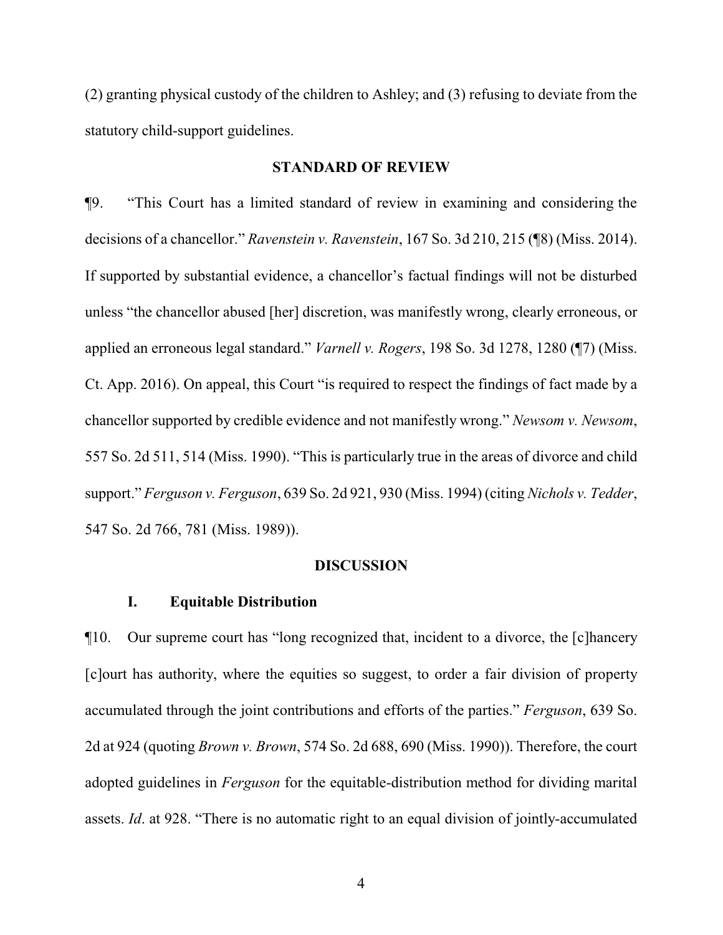(2) granting physical custody of the children to Ashley; and (3) refusing to deviate from the statutory child-support guidelines.

## **STANDARD OF REVIEW**

¶9. "This Court has a limited standard of review in examining and considering the decisions of a chancellor." *Ravenstein v. Ravenstein*, 167 So. 3d 210, 215 (¶8) (Miss. 2014). If supported by substantial evidence, a chancellor's factual findings will not be disturbed unless "the chancellor abused [her] discretion, was manifestly wrong, clearly erroneous, or applied an erroneous legal standard." *Varnell v. Rogers*, 198 So. 3d 1278, 1280 (¶7) (Miss. Ct. App. 2016). On appeal, this Court "is required to respect the findings of fact made by a chancellor supported by credible evidence and not manifestly wrong." *Newsom v. Newsom*, 557 So. 2d 511, 514 (Miss. 1990). "This is particularly true in the areas of divorce and child support." *Ferguson v. Ferguson*, 639 So. 2d 921, 930 (Miss. 1994) (citing *Nichols v. Tedder*, 547 So. 2d 766, 781 (Miss. 1989)).

#### **DISCUSSION**

## **I. Equitable Distribution**

¶10. Our supreme court has "long recognized that, incident to a divorce, the [c]hancery [c]ourt has authority, where the equities so suggest, to order a fair division of property accumulated through the joint contributions and efforts of the parties." *Ferguson*, 639 So. 2d at 924 (quoting *Brown v. Brown*, 574 So. 2d 688, 690 (Miss. 1990)). Therefore, the court adopted guidelines in *Ferguson* for the equitable-distribution method for dividing marital assets. *Id*. at 928. "There is no automatic right to an equal division of jointly-accumulated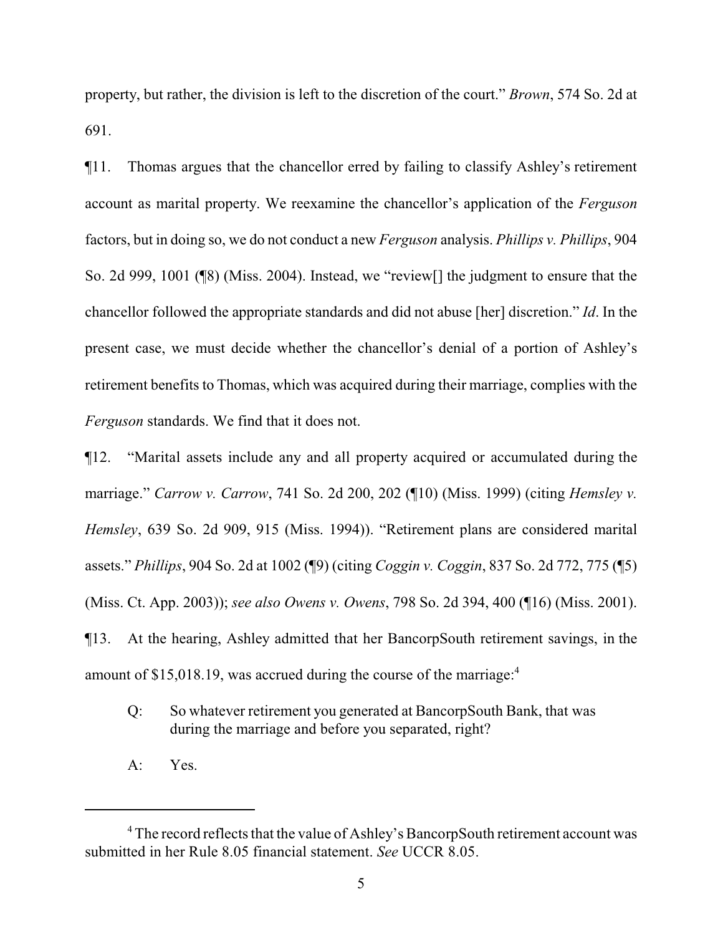property, but rather, the division is left to the discretion of the court." *Brown*, 574 So. 2d at 691.

¶11. Thomas argues that the chancellor erred by failing to classify Ashley's retirement account as marital property. We reexamine the chancellor's application of the *Ferguson* factors, but in doing so, we do not conduct a new *Ferguson* analysis. *Phillips v. Phillips*, 904 So. 2d 999, 1001 (¶8) (Miss. 2004). Instead, we "review[] the judgment to ensure that the chancellor followed the appropriate standards and did not abuse [her] discretion." *Id*. In the present case, we must decide whether the chancellor's denial of a portion of Ashley's retirement benefits to Thomas, which was acquired during their marriage, complies with the *Ferguson* standards. We find that it does not.

¶12. "Marital assets include any and all property acquired or accumulated during the marriage." *Carrow v. Carrow*, 741 So. 2d 200, 202 (¶10) (Miss. 1999) (citing *Hemsley v. Hemsley*, 639 So. 2d 909, 915 (Miss. 1994)). "Retirement plans are considered marital assets." *Phillips*, 904 So. 2d at 1002 (¶9) (citing *Coggin v. Coggin*, 837 So. 2d 772, 775 (¶5) (Miss. Ct. App. 2003)); *see also Owens v. Owens*, 798 So. 2d 394, 400 (¶16) (Miss. 2001). ¶13. At the hearing, Ashley admitted that her BancorpSouth retirement savings, in the amount of \$15,018.19, was accrued during the course of the marriage:<sup>4</sup>

- Q: So whatever retirement you generated at BancorpSouth Bank, that was during the marriage and before you separated, right?
- A: Yes.

<sup>4</sup> The record reflects that the value of Ashley's BancorpSouth retirement account was submitted in her Rule 8.05 financial statement. *See* UCCR 8.05.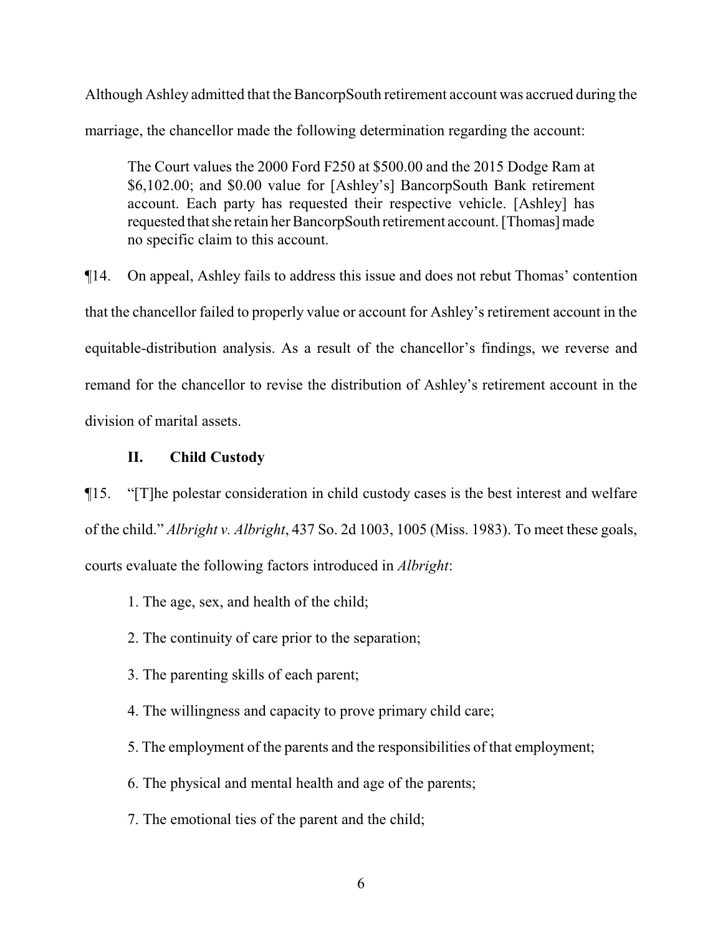Although Ashley admitted that the BancorpSouth retirement account was accrued during the marriage, the chancellor made the following determination regarding the account:

The Court values the 2000 Ford F250 at \$500.00 and the 2015 Dodge Ram at \$6,102.00; and \$0.00 value for [Ashley's] BancorpSouth Bank retirement account. Each party has requested their respective vehicle. [Ashley] has requested that she retain her BancorpSouth retirement account. [Thomas] made no specific claim to this account.

¶14. On appeal, Ashley fails to address this issue and does not rebut Thomas' contention that the chancellor failed to properly value or account for Ashley's retirement account in the equitable-distribution analysis. As a result of the chancellor's findings, we reverse and remand for the chancellor to revise the distribution of Ashley's retirement account in the division of marital assets.

# **II. Child Custody**

¶15. "[T]he polestar consideration in child custody cases is the best interest and welfare of the child." *Albright v. Albright*, 437 So. 2d 1003, 1005 (Miss. 1983). To meet these goals, courts evaluate the following factors introduced in *Albright*:

- 1. The age, sex, and health of the child;
- 2. The continuity of care prior to the separation;
- 3. The parenting skills of each parent;
- 4. The willingness and capacity to prove primary child care;
- 5. The employment of the parents and the responsibilities of that employment;
- 6. The physical and mental health and age of the parents;
- 7. The emotional ties of the parent and the child;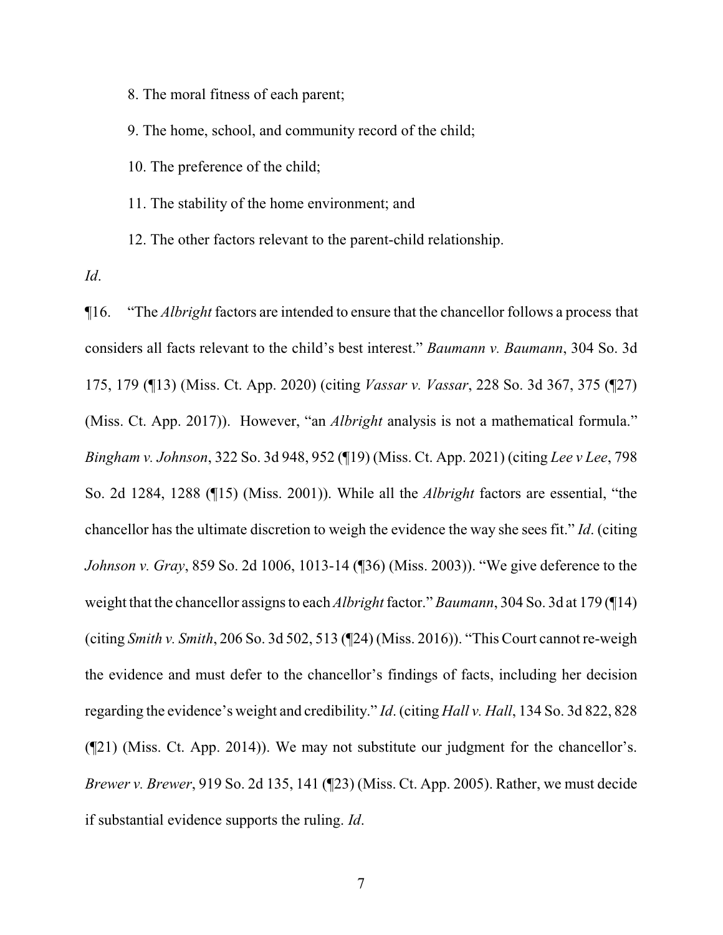8. The moral fitness of each parent;

9. The home, school, and community record of the child;

10. The preference of the child;

11. The stability of the home environment; and

12. The other factors relevant to the parent-child relationship.

*Id*.

¶16. "The *Albright* factors are intended to ensure that the chancellor follows a process that considers all facts relevant to the child's best interest." *Baumann v. Baumann*, 304 So. 3d 175, 179 (¶13) (Miss. Ct. App. 2020) (citing *Vassar v. Vassar*, 228 So. 3d 367, 375 (¶27) (Miss. Ct. App. 2017)). However, "an *Albright* analysis is not a mathematical formula." *Bingham v. Johnson*, 322 So. 3d 948, 952 (¶19) (Miss. Ct. App. 2021) (citing *Lee v Lee*, 798 So. 2d 1284, 1288 (¶15) (Miss. 2001)). While all the *Albright* factors are essential, "the chancellor has the ultimate discretion to weigh the evidence the way she sees fit." *Id*. (citing *Johnson v. Gray*, 859 So. 2d 1006, 1013-14 (¶36) (Miss. 2003)). "We give deference to the weight that the chancellor assigns to each *Albright* factor." *Baumann*, 304 So. 3d at 179 (¶14) (citing *Smith v. Smith*, 206 So. 3d 502, 513 (¶24) (Miss. 2016)). "This Court cannot re-weigh the evidence and must defer to the chancellor's findings of facts, including her decision regarding the evidence's weight and credibility." *Id*. (citing *Hall v. Hall*, 134 So. 3d 822, 828 (¶21) (Miss. Ct. App. 2014)). We may not substitute our judgment for the chancellor's. *Brewer v. Brewer*, 919 So. 2d 135, 141 (¶23) (Miss. Ct. App. 2005). Rather, we must decide if substantial evidence supports the ruling. *Id*.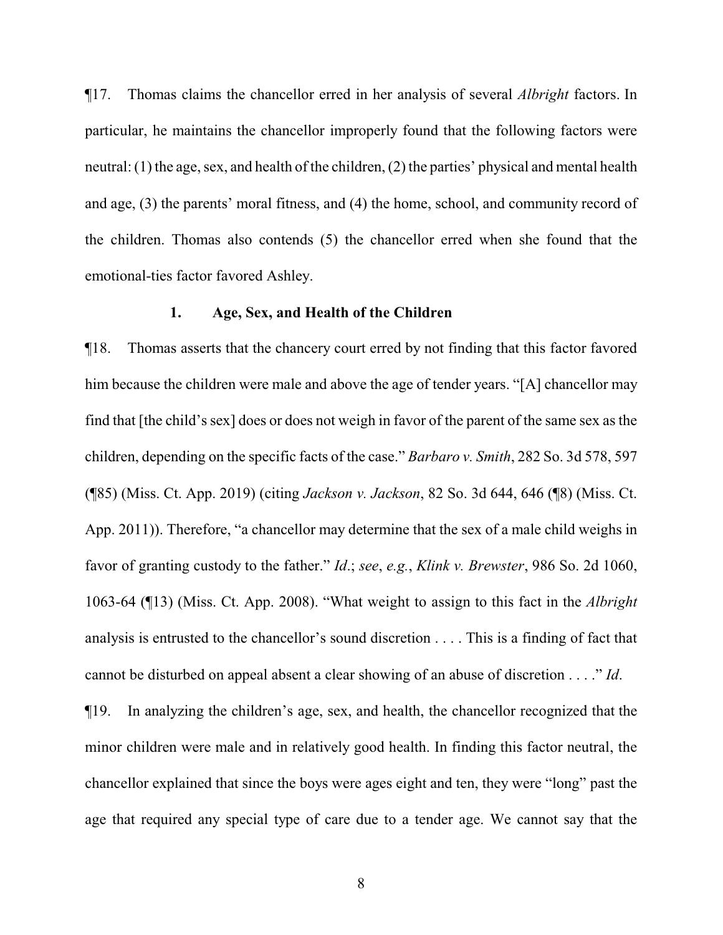¶17. Thomas claims the chancellor erred in her analysis of several *Albright* factors. In particular, he maintains the chancellor improperly found that the following factors were neutral: (1) the age, sex, and health of the children, (2) the parties' physical and mental health and age, (3) the parents' moral fitness, and (4) the home, school, and community record of the children. Thomas also contends (5) the chancellor erred when she found that the emotional-ties factor favored Ashley.

## **1. Age, Sex, and Health of the Children**

¶18. Thomas asserts that the chancery court erred by not finding that this factor favored him because the children were male and above the age of tender years. "[A] chancellor may find that [the child's sex] does or does not weigh in favor of the parent of the same sex as the children, depending on the specific facts of the case." *Barbaro v. Smith*, 282 So. 3d 578, 597 (¶85) (Miss. Ct. App. 2019) (citing *Jackson v. Jackson*, 82 So. 3d 644, 646 (¶8) (Miss. Ct. App. 2011)). Therefore, "a chancellor may determine that the sex of a male child weighs in favor of granting custody to the father." *Id*.; *see*, *e.g.*, *Klink v. Brewster*, 986 So. 2d 1060, 1063-64 (¶13) (Miss. Ct. App. 2008). "What weight to assign to this fact in the *Albright* analysis is entrusted to the chancellor's sound discretion . . . . This is a finding of fact that cannot be disturbed on appeal absent a clear showing of an abuse of discretion . . . ." *Id*.

¶19. In analyzing the children's age, sex, and health, the chancellor recognized that the minor children were male and in relatively good health. In finding this factor neutral, the chancellor explained that since the boys were ages eight and ten, they were "long" past the age that required any special type of care due to a tender age. We cannot say that the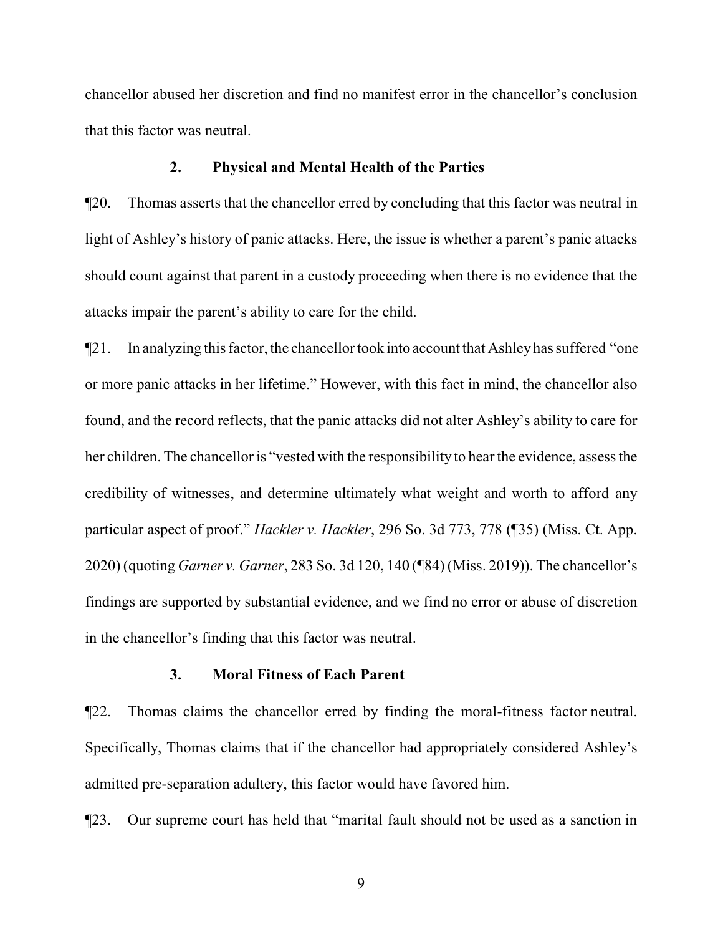chancellor abused her discretion and find no manifest error in the chancellor's conclusion that this factor was neutral.

#### **2. Physical and Mental Health of the Parties**

¶20. Thomas asserts that the chancellor erred by concluding that this factor was neutral in light of Ashley's history of panic attacks. Here, the issue is whether a parent's panic attacks should count against that parent in a custody proceeding when there is no evidence that the attacks impair the parent's ability to care for the child.

¶21. In analyzing this factor, the chancellor took into account that Ashley has suffered "one or more panic attacks in her lifetime." However, with this fact in mind, the chancellor also found, and the record reflects, that the panic attacks did not alter Ashley's ability to care for her children. The chancellor is "vested with the responsibility to hear the evidence, assess the credibility of witnesses, and determine ultimately what weight and worth to afford any particular aspect of proof." *Hackler v. Hackler*, 296 So. 3d 773, 778 (¶35) (Miss. Ct. App. 2020) (quoting *Garner v. Garner*, 283 So. 3d 120, 140 (¶84) (Miss. 2019)). The chancellor's findings are supported by substantial evidence, and we find no error or abuse of discretion in the chancellor's finding that this factor was neutral.

# **3. Moral Fitness of Each Parent**

¶22. Thomas claims the chancellor erred by finding the moral-fitness factor neutral. Specifically, Thomas claims that if the chancellor had appropriately considered Ashley's admitted pre-separation adultery, this factor would have favored him.

¶23. Our supreme court has held that "marital fault should not be used as a sanction in

9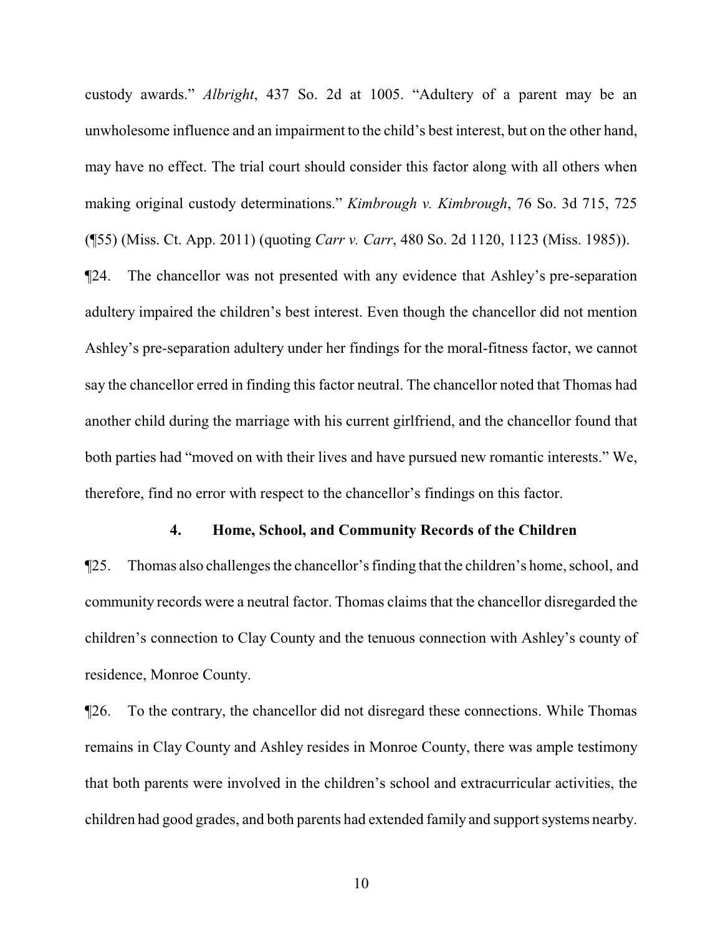custody awards." *Albright*, 437 So. 2d at 1005. "Adultery of a parent may be an unwholesome influence and an impairment to the child's best interest, but on the other hand, may have no effect. The trial court should consider this factor along with all others when making original custody determinations." *Kimbrough v. Kimbrough*, 76 So. 3d 715, 725 (¶55) (Miss. Ct. App. 2011) (quoting *Carr v. Carr*, 480 So. 2d 1120, 1123 (Miss. 1985)).

¶24. The chancellor was not presented with any evidence that Ashley's pre-separation adultery impaired the children's best interest. Even though the chancellor did not mention Ashley's pre-separation adultery under her findings for the moral-fitness factor, we cannot say the chancellor erred in finding this factor neutral. The chancellor noted that Thomas had another child during the marriage with his current girlfriend, and the chancellor found that both parties had "moved on with their lives and have pursued new romantic interests." We, therefore, find no error with respect to the chancellor's findings on this factor.

## **4. Home, School, and Community Records of the Children**

¶25. Thomas also challenges the chancellor's finding that the children's home, school, and community records were a neutral factor. Thomas claims that the chancellor disregarded the children's connection to Clay County and the tenuous connection with Ashley's county of residence, Monroe County.

¶26. To the contrary, the chancellor did not disregard these connections. While Thomas remains in Clay County and Ashley resides in Monroe County, there was ample testimony that both parents were involved in the children's school and extracurricular activities, the children had good grades, and both parents had extended family and support systems nearby.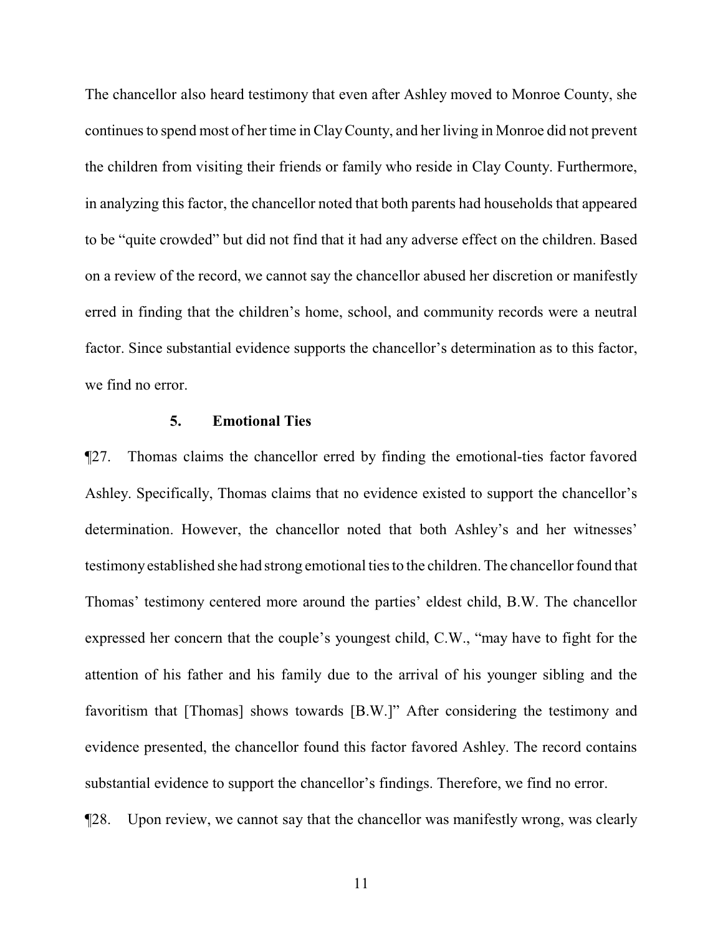The chancellor also heard testimony that even after Ashley moved to Monroe County, she continues to spend most of her time in ClayCounty, and her living in Monroe did not prevent the children from visiting their friends or family who reside in Clay County. Furthermore, in analyzing this factor, the chancellor noted that both parents had households that appeared to be "quite crowded" but did not find that it had any adverse effect on the children. Based on a review of the record, we cannot say the chancellor abused her discretion or manifestly erred in finding that the children's home, school, and community records were a neutral factor. Since substantial evidence supports the chancellor's determination as to this factor, we find no error.

## **5. Emotional Ties**

¶27. Thomas claims the chancellor erred by finding the emotional-ties factor favored Ashley. Specifically, Thomas claims that no evidence existed to support the chancellor's determination. However, the chancellor noted that both Ashley's and her witnesses' testimonyestablished she had strong emotional ties to the children. The chancellor found that Thomas' testimony centered more around the parties' eldest child, B.W. The chancellor expressed her concern that the couple's youngest child, C.W., "may have to fight for the attention of his father and his family due to the arrival of his younger sibling and the favoritism that [Thomas] shows towards [B.W.]" After considering the testimony and evidence presented, the chancellor found this factor favored Ashley. The record contains substantial evidence to support the chancellor's findings. Therefore, we find no error.

¶28. Upon review, we cannot say that the chancellor was manifestly wrong, was clearly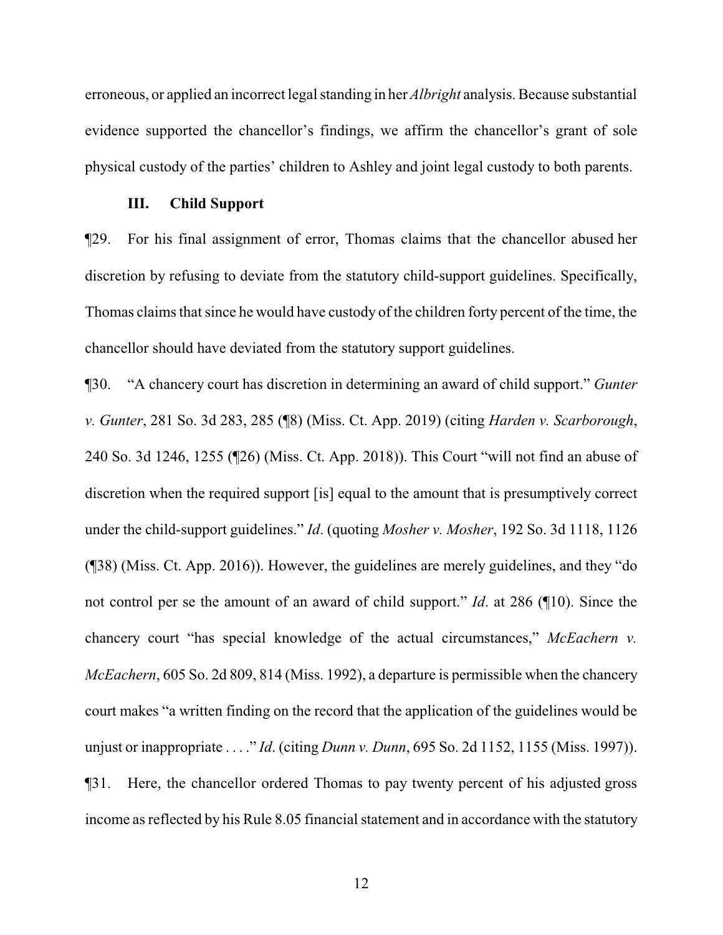erroneous, or applied an incorrect legal standing in her *Albright* analysis. Because substantial evidence supported the chancellor's findings, we affirm the chancellor's grant of sole physical custody of the parties' children to Ashley and joint legal custody to both parents.

# **III. Child Support**

¶29. For his final assignment of error, Thomas claims that the chancellor abused her discretion by refusing to deviate from the statutory child-support guidelines. Specifically, Thomas claims that since he would have custody of the children forty percent of the time, the chancellor should have deviated from the statutory support guidelines.

¶30. "A chancery court has discretion in determining an award of child support." *Gunter v. Gunter*, 281 So. 3d 283, 285 (¶8) (Miss. Ct. App. 2019) (citing *Harden v. Scarborough*, 240 So. 3d 1246, 1255 (¶26) (Miss. Ct. App. 2018)). This Court "will not find an abuse of discretion when the required support [is] equal to the amount that is presumptively correct under the child-support guidelines." *Id*. (quoting *Mosher v. Mosher*, 192 So. 3d 1118, 1126 (¶38) (Miss. Ct. App. 2016)). However, the guidelines are merely guidelines, and they "do not control per se the amount of an award of child support." *Id*. at 286 (¶10). Since the chancery court "has special knowledge of the actual circumstances," *McEachern v. McEachern*, 605 So. 2d 809, 814 (Miss. 1992), a departure is permissible when the chancery court makes "a written finding on the record that the application of the guidelines would be unjust or inappropriate . . . ." *Id*. (citing *Dunn v. Dunn*, 695 So. 2d 1152, 1155 (Miss. 1997)). ¶31. Here, the chancellor ordered Thomas to pay twenty percent of his adjusted gross income as reflected by his Rule 8.05 financial statement and in accordance with the statutory